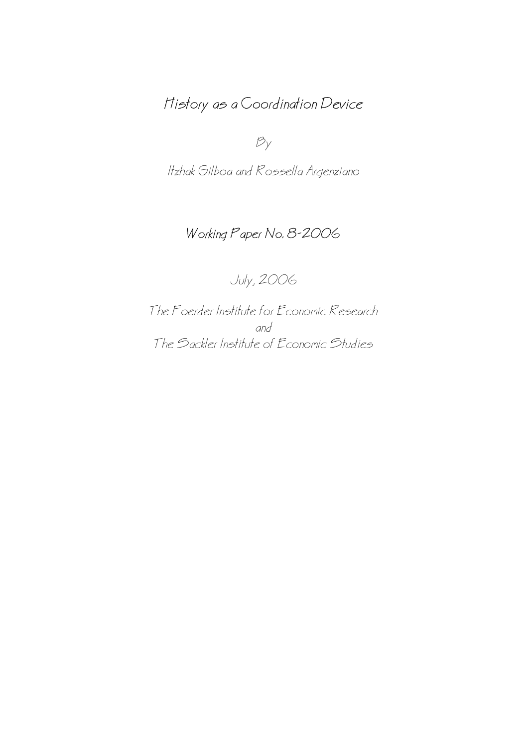# History as a Coordination Device

 $B_y$ 

Itzhak Gilboa and Rossella Argenziano

## Working Paper No. 8−2006

July, 2006

The Foerder Institute for Economic Research and The Sackler Institute of Economic Studies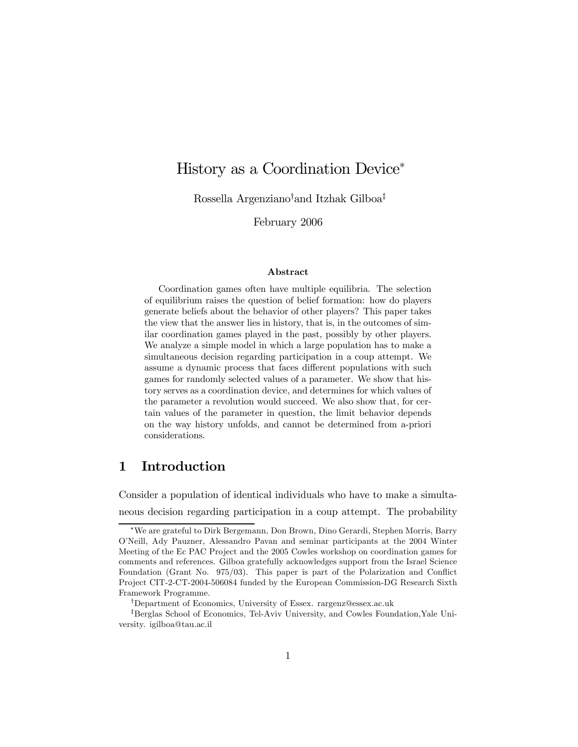## History as a Coordination Device<sup>∗</sup>

Rossella Argenziano† and Itzhak Gilboa‡

February 2006

#### Abstract

Coordination games often have multiple equilibria. The selection of equilibrium raises the question of belief formation: how do players generate beliefs about the behavior of other players? This paper takes the view that the answer lies in history, that is, in the outcomes of similar coordination games played in the past, possibly by other players. We analyze a simple model in which a large population has to make a simultaneous decision regarding participation in a coup attempt. We assume a dynamic process that faces different populations with such games for randomly selected values of a parameter. We show that history serves as a coordination device, and determines for which values of the parameter a revolution would succeed. We also show that, for certain values of the parameter in question, the limit behavior depends on the way history unfolds, and cannot be determined from a-priori considerations.

#### 1 Introduction

Consider a population of identical individuals who have to make a simultaneous decision regarding participation in a coup attempt. The probability

<sup>∗</sup>We are grateful to Dirk Bergemann, Don Brown, Dino Gerardi, Stephen Morris, Barry O'Neill, Ady Pauzner, Alessandro Pavan and seminar participants at the 2004 Winter Meeting of the Ec PAC Project and the 2005 Cowles workshop on coordination games for comments and references. Gilboa gratefully acknowledges support from the Israel Science Foundation (Grant No. 975/03). This paper is part of the Polarization and Conflict Project CIT-2-CT-2004-506084 funded by the European Commission-DG Research Sixth Framework Programme.

<sup>†</sup>Department of Economics, University of Essex. rargenz@essex.ac.uk

<sup>‡</sup>Berglas School of Economics, Tel-Aviv University, and Cowles Foundation,Yale University. igilboa@tau.ac.il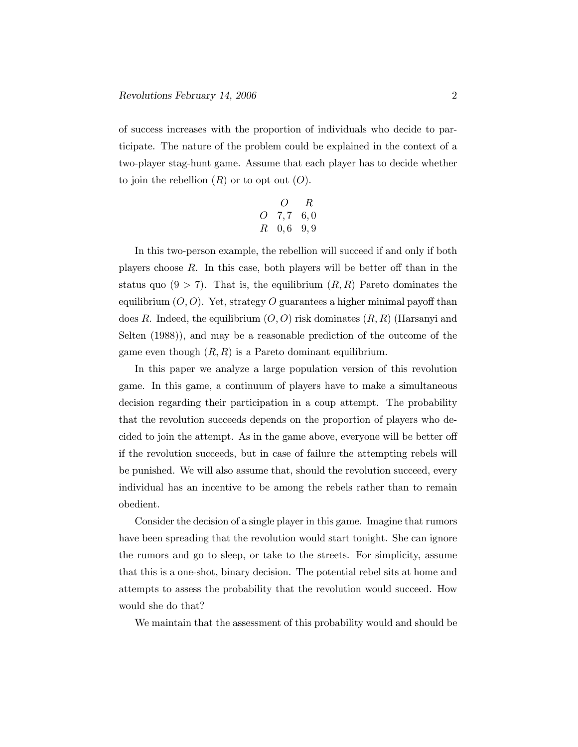of success increases with the proportion of individuals who decide to participate. The nature of the problem could be explained in the context of a two-player stag-hunt game. Assume that each player has to decide whether to join the rebellion  $(R)$  or to opt out  $(O)$ .

$$
\begin{array}{ccc}\n & O & R \\
O & 7,7 & 6,0 \\
R & 0,6 & 9,9\n\end{array}
$$

In this two-person example, the rebellion will succeed if and only if both players choose R. In this case, both players will be better off than in the status quo  $(9 > 7)$ . That is, the equilibrium  $(R, R)$  Pareto dominates the equilibrium  $(O, O)$ . Yet, strategy O guarantees a higher minimal payoff than does R. Indeed, the equilibrium  $(O, O)$  risk dominates  $(R, R)$  (Harsanyi and Selten (1988)), and may be a reasonable prediction of the outcome of the game even though  $(R, R)$  is a Pareto dominant equilibrium.

In this paper we analyze a large population version of this revolution game. In this game, a continuum of players have to make a simultaneous decision regarding their participation in a coup attempt. The probability that the revolution succeeds depends on the proportion of players who decided to join the attempt. As in the game above, everyone will be better off if the revolution succeeds, but in case of failure the attempting rebels will be punished. We will also assume that, should the revolution succeed, every individual has an incentive to be among the rebels rather than to remain obedient.

Consider the decision of a single player in this game. Imagine that rumors have been spreading that the revolution would start tonight. She can ignore the rumors and go to sleep, or take to the streets. For simplicity, assume that this is a one-shot, binary decision. The potential rebel sits at home and attempts to assess the probability that the revolution would succeed. How would she do that?

We maintain that the assessment of this probability would and should be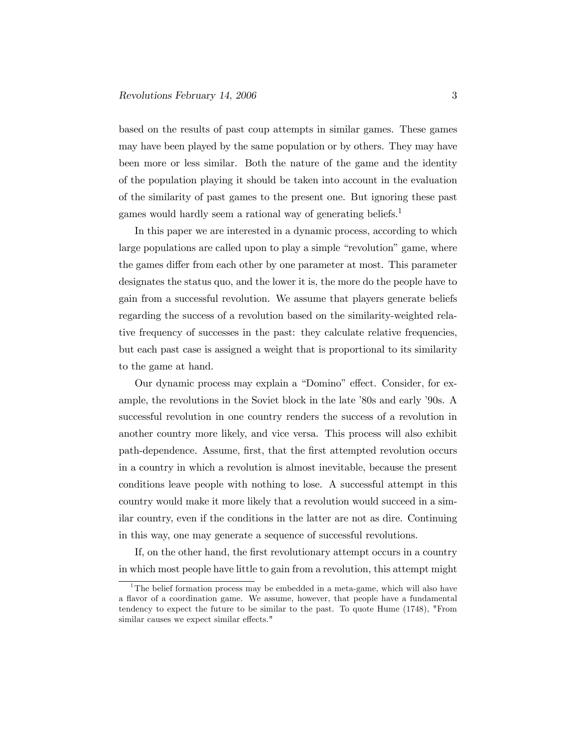based on the results of past coup attempts in similar games. These games may have been played by the same population or by others. They may have been more or less similar. Both the nature of the game and the identity of the population playing it should be taken into account in the evaluation of the similarity of past games to the present one. But ignoring these past games would hardly seem a rational way of generating beliefs.<sup>1</sup>

In this paper we are interested in a dynamic process, according to which large populations are called upon to play a simple "revolution" game, where the games differ from each other by one parameter at most. This parameter designates the status quo, and the lower it is, the more do the people have to gain from a successful revolution. We assume that players generate beliefs regarding the success of a revolution based on the similarity-weighted relative frequency of successes in the past: they calculate relative frequencies, but each past case is assigned a weight that is proportional to its similarity to the game at hand.

Our dynamic process may explain a "Domino" effect. Consider, for example, the revolutions in the Soviet block in the late '80s and early '90s. A successful revolution in one country renders the success of a revolution in another country more likely, and vice versa. This process will also exhibit path-dependence. Assume, first, that the first attempted revolution occurs in a country in which a revolution is almost inevitable, because the present conditions leave people with nothing to lose. A successful attempt in this country would make it more likely that a revolution would succeed in a similar country, even if the conditions in the latter are not as dire. Continuing in this way, one may generate a sequence of successful revolutions.

If, on the other hand, the first revolutionary attempt occurs in a country in which most people have little to gain from a revolution, this attempt might

<sup>&</sup>lt;sup>1</sup>The belief formation process may be embedded in a meta-game, which will also have a flavor of a coordination game. We assume, however, that people have a fundamental tendency to expect the future to be similar to the past. To quote Hume (1748), "From similar causes we expect similar effects."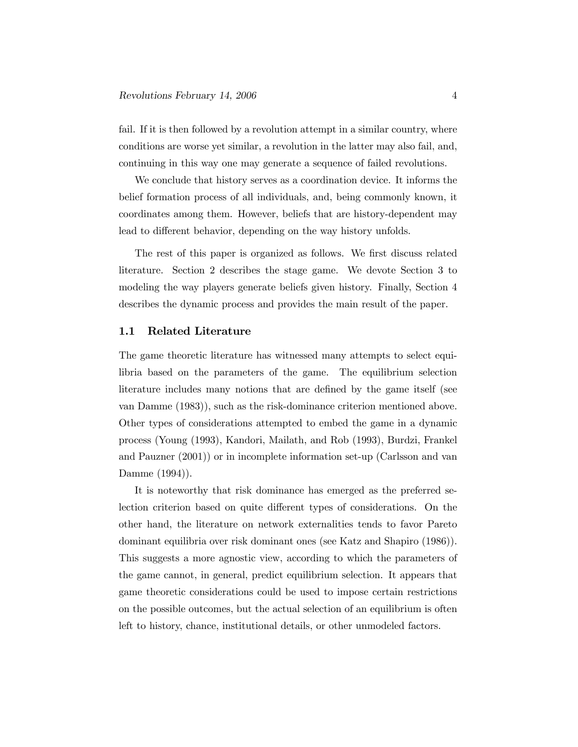fail. If it is then followed by a revolution attempt in a similar country, where conditions are worse yet similar, a revolution in the latter may also fail, and, continuing in this way one may generate a sequence of failed revolutions.

We conclude that history serves as a coordination device. It informs the belief formation process of all individuals, and, being commonly known, it coordinates among them. However, beliefs that are history-dependent may lead to different behavior, depending on the way history unfolds.

The rest of this paper is organized as follows. We first discuss related literature. Section 2 describes the stage game. We devote Section 3 to modeling the way players generate beliefs given history. Finally, Section 4 describes the dynamic process and provides the main result of the paper.

#### 1.1 Related Literature

The game theoretic literature has witnessed many attempts to select equilibria based on the parameters of the game. The equilibrium selection literature includes many notions that are defined by the game itself (see van Damme (1983)), such as the risk-dominance criterion mentioned above. Other types of considerations attempted to embed the game in a dynamic process (Young (1993), Kandori, Mailath, and Rob (1993), Burdzi, Frankel and Pauzner (2001)) or in incomplete information set-up (Carlsson and van Damme (1994)).

It is noteworthy that risk dominance has emerged as the preferred selection criterion based on quite different types of considerations. On the other hand, the literature on network externalities tends to favor Pareto dominant equilibria over risk dominant ones (see Katz and Shapiro (1986)). This suggests a more agnostic view, according to which the parameters of the game cannot, in general, predict equilibrium selection. It appears that game theoretic considerations could be used to impose certain restrictions on the possible outcomes, but the actual selection of an equilibrium is often left to history, chance, institutional details, or other unmodeled factors.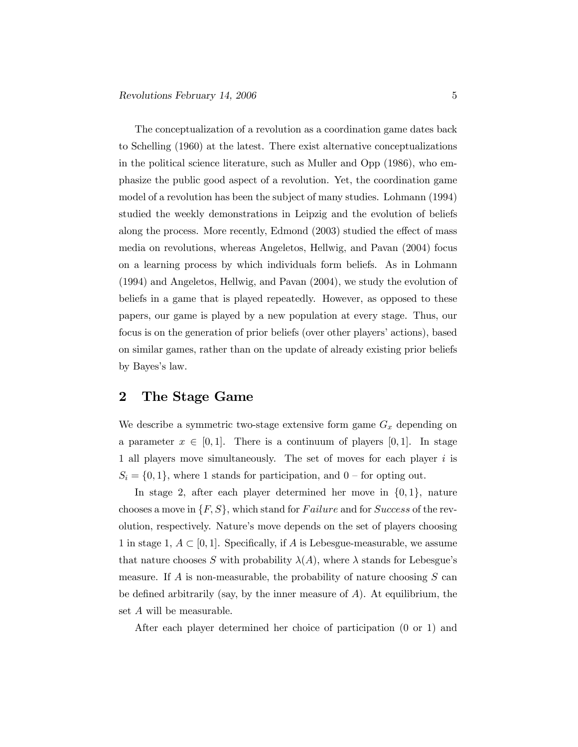The conceptualization of a revolution as a coordination game dates back to Schelling (1960) at the latest. There exist alternative conceptualizations in the political science literature, such as Muller and Opp (1986), who emphasize the public good aspect of a revolution. Yet, the coordination game model of a revolution has been the subject of many studies. Lohmann (1994) studied the weekly demonstrations in Leipzig and the evolution of beliefs along the process. More recently, Edmond (2003) studied the effect of mass media on revolutions, whereas Angeletos, Hellwig, and Pavan (2004) focus on a learning process by which individuals form beliefs. As in Lohmann (1994) and Angeletos, Hellwig, and Pavan (2004), we study the evolution of beliefs in a game that is played repeatedly. However, as opposed to these papers, our game is played by a new population at every stage. Thus, our focus is on the generation of prior beliefs (over other players' actions), based on similar games, rather than on the update of already existing prior beliefs by Bayes's law.

#### 2 The Stage Game

We describe a symmetric two-stage extensive form game  $G_x$  depending on a parameter  $x \in [0,1]$ . There is a continuum of players [0, 1]. In stage 1 all players move simultaneously. The set of moves for each player i is  $S_i = \{0, 1\}$ , where 1 stands for participation, and  $0$  – for opting out.

In stage 2, after each player determined her move in  $\{0, 1\}$ , nature chooses a move in  $\{F, S\}$ , which stand for *Failure* and for *Success* of the revolution, respectively. Nature's move depends on the set of players choosing 1 in stage 1,  $A \subset [0, 1]$ . Specifically, if A is Lebesgue-measurable, we assume that nature chooses S with probability  $\lambda(A)$ , where  $\lambda$  stands for Lebesgue's measure. If  $A$  is non-measurable, the probability of nature choosing  $S$  can be defined arbitrarily (say, by the inner measure of  $A$ ). At equilibrium, the set A will be measurable.

After each player determined her choice of participation (0 or 1) and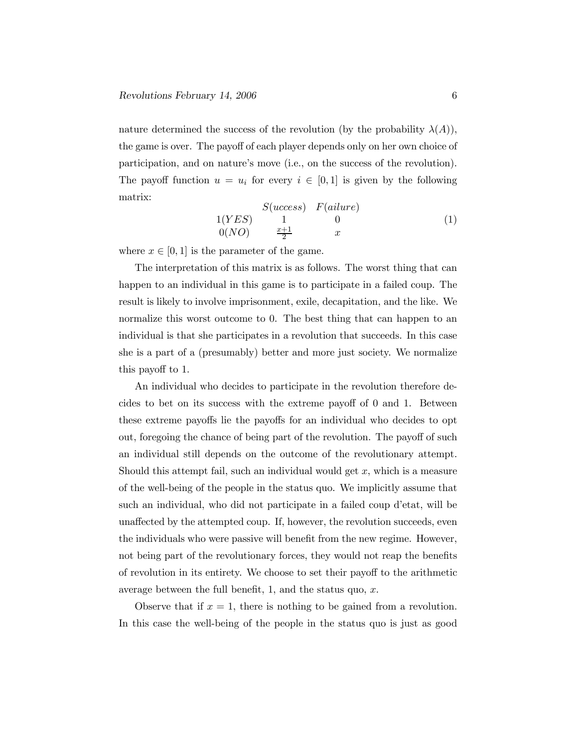nature determined the success of the revolution (by the probability  $\lambda(A)$ ), the game is over. The payoff of each player depends only on her own choice of participation, and on nature's move (i.e., on the success of the revolution). The payoff function  $u = u_i$  for every  $i \in [0,1]$  is given by the following matrix:

$$
\begin{array}{ccc}\nS(uccess) & F(ai(1)) \\
1(YES) & 1 & 0 \\
0(NO) & \frac{x+1}{2} & x\n\end{array} \tag{1}
$$

where  $x \in [0, 1]$  is the parameter of the game.

The interpretation of this matrix is as follows. The worst thing that can happen to an individual in this game is to participate in a failed coup. The result is likely to involve imprisonment, exile, decapitation, and the like. We normalize this worst outcome to 0. The best thing that can happen to an individual is that she participates in a revolution that succeeds. In this case she is a part of a (presumably) better and more just society. We normalize this payoff to 1.

An individual who decides to participate in the revolution therefore decides to bet on its success with the extreme payoff of 0 and 1. Between these extreme payoffs lie the payoffs for an individual who decides to opt out, foregoing the chance of being part of the revolution. The payoff of such an individual still depends on the outcome of the revolutionary attempt. Should this attempt fail, such an individual would get  $x$ , which is a measure of the well-being of the people in the status quo. We implicitly assume that such an individual, who did not participate in a failed coup d'etat, will be unaffected by the attempted coup. If, however, the revolution succeeds, even the individuals who were passive will benefit from the new regime. However, not being part of the revolutionary forces, they would not reap the benefits of revolution in its entirety. We choose to set their payoff to the arithmetic average between the full benefit,  $1$ , and the status quo,  $x$ .

Observe that if  $x = 1$ , there is nothing to be gained from a revolution. In this case the well-being of the people in the status quo is just as good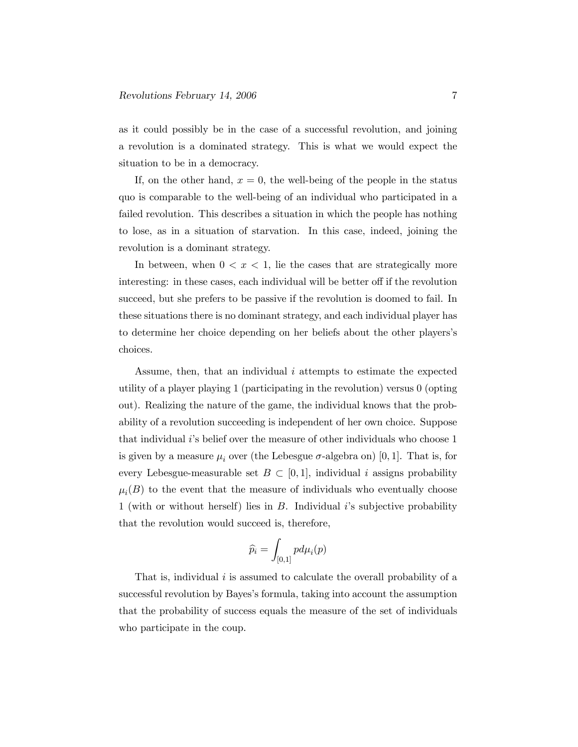as it could possibly be in the case of a successful revolution, and joining a revolution is a dominated strategy. This is what we would expect the situation to be in a democracy.

If, on the other hand,  $x = 0$ , the well-being of the people in the status quo is comparable to the well-being of an individual who participated in a failed revolution. This describes a situation in which the people has nothing to lose, as in a situation of starvation. In this case, indeed, joining the revolution is a dominant strategy.

In between, when  $0 < x < 1$ , lie the cases that are strategically more interesting: in these cases, each individual will be better off if the revolution succeed, but she prefers to be passive if the revolution is doomed to fail. In these situations there is no dominant strategy, and each individual player has to determine her choice depending on her beliefs about the other players's choices.

Assume, then, that an individual  $i$  attempts to estimate the expected utility of a player playing 1 (participating in the revolution) versus 0 (opting out). Realizing the nature of the game, the individual knows that the probability of a revolution succeeding is independent of her own choice. Suppose that individual *i*'s belief over the measure of other individuals who choose 1 is given by a measure  $\mu_i$  over (the Lebesgue  $\sigma$ -algebra on) [0, 1]. That is, for every Lebesgue-measurable set  $B \subset [0,1]$ , individual i assigns probability  $\mu_i(B)$  to the event that the measure of individuals who eventually choose 1 (with or without herself) lies in B. Individual i's subjective probability that the revolution would succeed is, therefore,

$$
\widehat{p}_i = \int_{[0,1]} p d\mu_i(p)
$$

That is, individual  $i$  is assumed to calculate the overall probability of a successful revolution by Bayes's formula, taking into account the assumption that the probability of success equals the measure of the set of individuals who participate in the coup.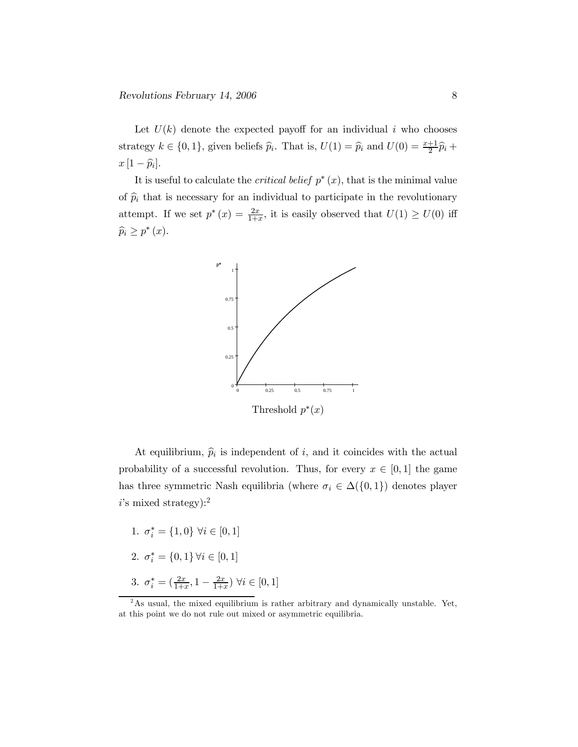Let  $U(k)$  denote the expected payoff for an individual i who chooses strategy  $k \in \{0, 1\}$ , given beliefs  $\widehat{p}_i$ . That is,  $U(1) = \widehat{p}_i$  and  $U(0) = \frac{x+1}{2}\widehat{p}_i +$  $x\left[1-\widehat{p}_i\right].$ 

It is useful to calculate the *critical belief*  $p^*(x)$ , that is the minimal value of  $\hat{p}_i$  that is necessary for an individual to participate in the revolutionary attempt. If we set  $p^*(x) = \frac{2x}{1+x}$ , it is easily observed that  $U(1) \ge U(0)$  iff  $\widehat{p}_i \geq p^*(x)$ .



At equilibrium,  $\hat{p}_i$  is independent of i, and it coincides with the actual probability of a successful revolution. Thus, for every  $x \in [0,1]$  the game has three symmetric Nash equilibria (where  $\sigma_i \in \Delta(\{0,1\})$  denotes player  $i$ 's mixed strategy):<sup>2</sup>

1.  $\sigma_i^* = \{1, 0\} \ \forall i \in [0, 1]$ 2.  $\sigma_i^* = \{0, 1\} \forall i \in [0, 1]$ 3.  $\sigma_i^* = \left(\frac{2x}{1+x}, 1 - \frac{2x}{1+x}\right) \forall i \in [0,1]$ 

<sup>&</sup>lt;sup>2</sup>As usual, the mixed equilibrium is rather arbitrary and dynamically unstable. Yet, at this point we do not rule out mixed or asymmetric equilibria.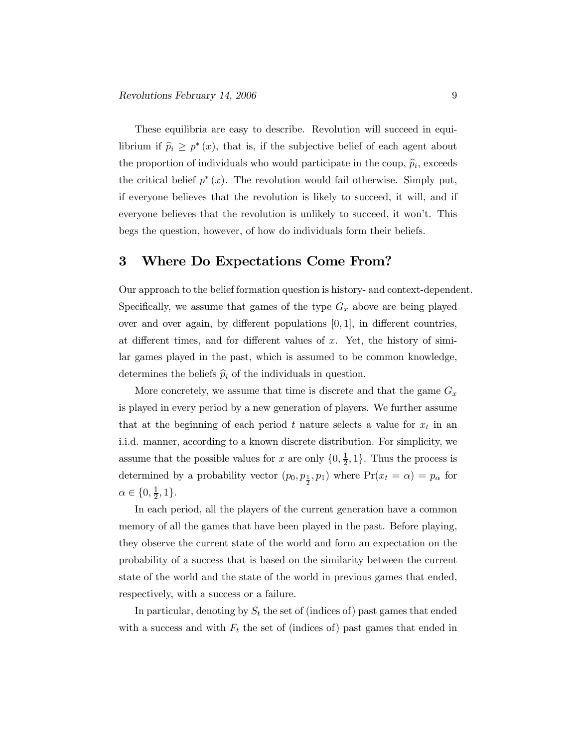These equilibria are easy to describe. Revolution will succeed in equilibrium if  $\hat{p}_i \geq p^*(x)$ , that is, if the subjective belief of each agent about the proportion of individuals who would participate in the coup,  $\widehat{p}_i$ , exceeds the critical belief  $p^*(x)$ . The revolution would fail otherwise. Simply put, if everyone believes that the revolution is likely to succeed, it will, and if everyone believes that the revolution is unlikely to succeed, it won't. This begs the question, however, of how do individuals form their beliefs.

### 3 Where Do Expectations Come From?

Our approach to the belief formation question is history- and context-dependent. Specifically, we assume that games of the type  $G_x$  above are being played over and over again, by different populations  $[0, 1]$ , in different countries, at different times, and for different values of  $x$ . Yet, the history of similar games played in the past, which is assumed to be common knowledge, determines the beliefs  $\widehat{p}_i$  of the individuals in question.

More concretely, we assume that time is discrete and that the game  $G_x$ is played in every period by a new generation of players. We further assume that at the beginning of each period t nature selects a value for  $x_t$  in an i.i.d. manner, according to a known discrete distribution. For simplicity, we assume that the possible values for x are only  $\{0, \frac{1}{2}, 1\}$ . Thus the process is determined by a probability vector  $(p_0, p_{\frac{1}{2}}, p_1)$  where  $Pr(x_t = \alpha) = p_\alpha$  for  $\alpha \in \{0, \frac{1}{2}, 1\}.$ 

In each period, all the players of the current generation have a common memory of all the games that have been played in the past. Before playing, they observe the current state of the world and form an expectation on the probability of a success that is based on the similarity between the current state of the world and the state of the world in previous games that ended, respectively, with a success or a failure.

In particular, denoting by  $S_t$  the set of (indices of) past games that ended with a success and with  $F_t$  the set of (indices of) past games that ended in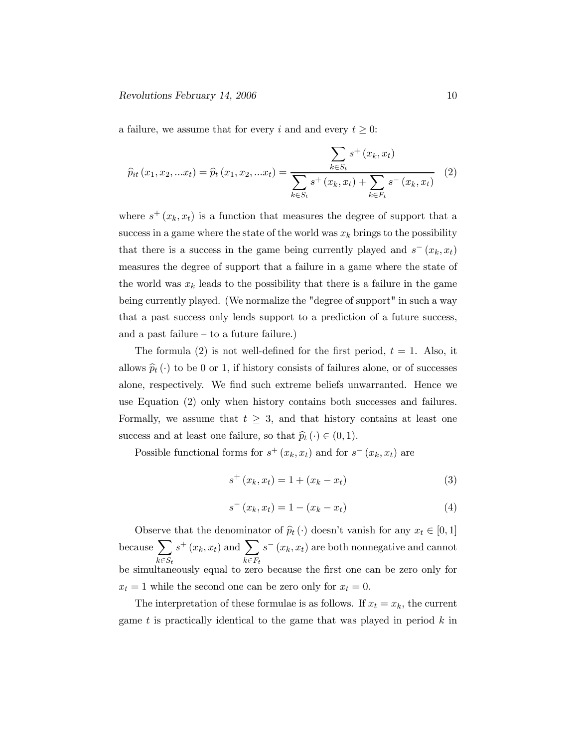#### $Revolutions$  February 14, 2006 10

a failure, we assume that for every i and and every  $t \geq 0$ :

$$
\widehat{p}_{it}(x_1, x_2, ... x_t) = \widehat{p}_t(x_1, x_2, ... x_t) = \frac{\sum_{k \in S_t} s^+(x_k, x_t)}{\sum_{k \in S_t} s^+(x_k, x_t) + \sum_{k \in F_t} s^-(x_k, x_t)} \tag{2}
$$

where  $s^+(x_k, x_t)$  is a function that measures the degree of support that a success in a game where the state of the world was  $x_k$  brings to the possibility that there is a success in the game being currently played and  $s^-(x_k, x_t)$ measures the degree of support that a failure in a game where the state of the world was  $x_k$  leads to the possibility that there is a failure in the game being currently played. (We normalize the "degree of support" in such a way that a past success only lends support to a prediction of a future success, and a past failure  $-$  to a future failure.)

The formula (2) is not well-defined for the first period,  $t = 1$ . Also, it allows  $\hat{p}_t(\cdot)$  to be 0 or 1, if history consists of failures alone, or of successes alone, respectively. We find such extreme beliefs unwarranted. Hence we use Equation (2) only when history contains both successes and failures. Formally, we assume that  $t \geq 3$ , and that history contains at least one success and at least one failure, so that  $\hat{p}_t (\cdot) \in (0, 1)$ .

Possible functional forms for  $s^+(x_k, x_t)$  and for  $s^-(x_k, x_t)$  are

$$
s^{+}(x_{k}, x_{t}) = 1 + (x_{k} - x_{t})
$$
\n(3)

$$
s^{-}(x_k, x_t) = 1 - (x_k - x_t)
$$
\n(4)

Observe that the denominator of  $\hat{p}_t(\cdot)$  doesn't vanish for any  $x_t \in [0, 1]$ because  $\sum$  $k \in S_t$  $s^+(x_k, x_t)$  and  $\sum$  $k \in F_t$  $s^{-}(x_k, x_t)$  are both nonnegative and cannot be simultaneously equal to zero because the first one can be zero only for  $x_t = 1$  while the second one can be zero only for  $x_t = 0$ .

The interpretation of these formulae is as follows. If  $x_t = x_k$ , the current game  $t$  is practically identical to the game that was played in period  $k$  in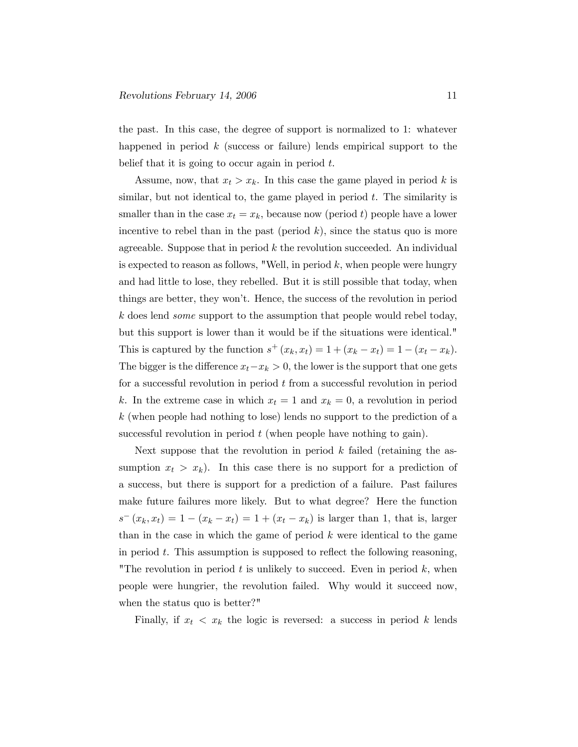the past. In this case, the degree of support is normalized to 1: whatever happened in period  $k$  (success or failure) lends empirical support to the belief that it is going to occur again in period  $t$ .

Assume, now, that  $x_t > x_k$ . In this case the game played in period k is similar, but not identical to, the game played in period  $t$ . The similarity is smaller than in the case  $x_t = x_k$ , because now (period t) people have a lower incentive to rebel than in the past (period  $k$ ), since the status quo is more agreeable. Suppose that in period  $k$  the revolution succeeded. An individual is expected to reason as follows, "Well, in period  $k$ , when people were hungry and had little to lose, they rebelled. But it is still possible that today, when things are better, they won't. Hence, the success of the revolution in period k does lend some support to the assumption that people would rebel today, but this support is lower than it would be if the situations were identical." This is captured by the function  $s^+(x_k, x_t)=1+(x_k - x_t)=1-(x_t - x_k)$ . The bigger is the difference  $x_t-x_k > 0$ , the lower is the support that one gets for a successful revolution in period t from a successful revolution in period k. In the extreme case in which  $x_t = 1$  and  $x_k = 0$ , a revolution in period k (when people had nothing to lose) lends no support to the prediction of a successful revolution in period  $t$  (when people have nothing to gain).

Next suppose that the revolution in period  $k$  failed (retaining the assumption  $x_t > x_k$ ). In this case there is no support for a prediction of a success, but there is support for a prediction of a failure. Past failures make future failures more likely. But to what degree? Here the function  $s^{-}(x_k, x_t)=1-(x_k-x_t)=1+(x_t-x_k)$  is larger than 1, that is, larger than in the case in which the game of period  $k$  were identical to the game in period  $t$ . This assumption is supposed to reflect the following reasoning, "The revolution in period  $t$  is unlikely to succeed. Even in period  $k$ , when people were hungrier, the revolution failed. Why would it succeed now, when the status quo is better?"

Finally, if  $x_t < x_k$  the logic is reversed: a success in period k lends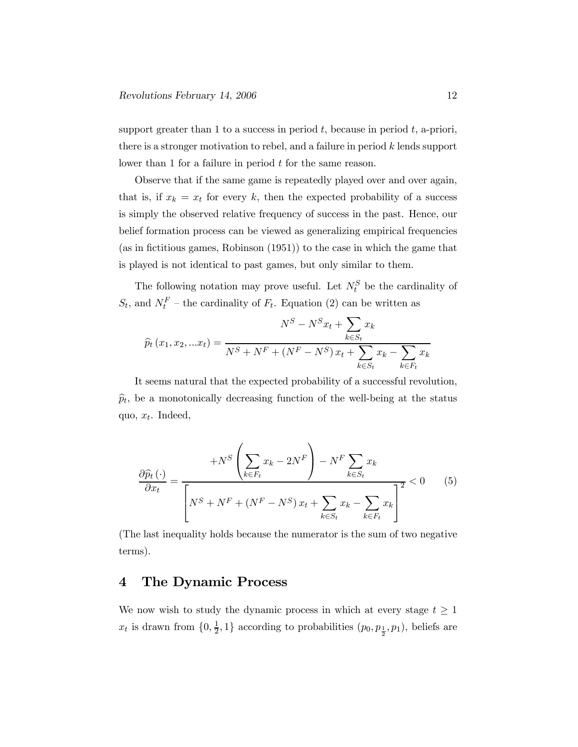support greater than 1 to a success in period  $t$ , because in period  $t$ , a-priori, there is a stronger motivation to rebel, and a failure in period k lends support lower than 1 for a failure in period  $t$  for the same reason.

Observe that if the same game is repeatedly played over and over again, that is, if  $x_k = x_t$  for every k, then the expected probability of a success is simply the observed relative frequency of success in the past. Hence, our belief formation process can be viewed as generalizing empirical frequencies (as in fictitious games, Robinson (1951)) to the case in which the game that is played is not identical to past games, but only similar to them.

The following notation may prove useful. Let  $N_t^S$  be the cardinality of  $S_t$ , and  $N_t^F$  – the cardinality of  $F_t$ . Equation (2) can be written as

$$
N^{S} - N^{S}x_{t} + \sum_{k \in S_{t}} x_{k}
$$

$$
\hat{p}_{t}(x_{1}, x_{2}, ... x_{t}) = \frac{N^{S} + N^{F} + (N^{F} - N^{S})x_{t} + \sum_{k \in S_{t}} x_{k} - \sum_{k \in F_{t}} x_{k}}{N^{S} + N^{F} + (N^{F} - N^{S})x_{t} + \sum_{k \in S_{t}} x_{k} - \sum_{k \in F_{t}} x_{k}}
$$

It seems natural that the expected probability of a successful revolution,  $\widehat{p}_t$ , be a monotonically decreasing function of the well-being at the status quo,  $x_t$ . Indeed,

$$
\frac{\partial \widehat{p}_t(\cdot)}{\partial x_t} = \frac{+N^S \left(\sum_{k \in F_t} x_k - 2N^F\right) - N^F \sum_{k \in S_t} x_k}{\left[N^S + N^F + (N^F - N^S) x_t + \sum_{k \in S_t} x_k - \sum_{k \in F_t} x_k\right]^2} < 0 \tag{5}
$$

(The last inequality holds because the numerator is the sum of two negative terms).

#### 4 The Dynamic Process

We now wish to study the dynamic process in which at every stage  $t \geq 1$  $x_t$  is drawn from  $\{0, \frac{1}{2}, 1\}$  according to probabilities  $(p_0, p_{\frac{1}{2}}, p_1)$ , beliefs are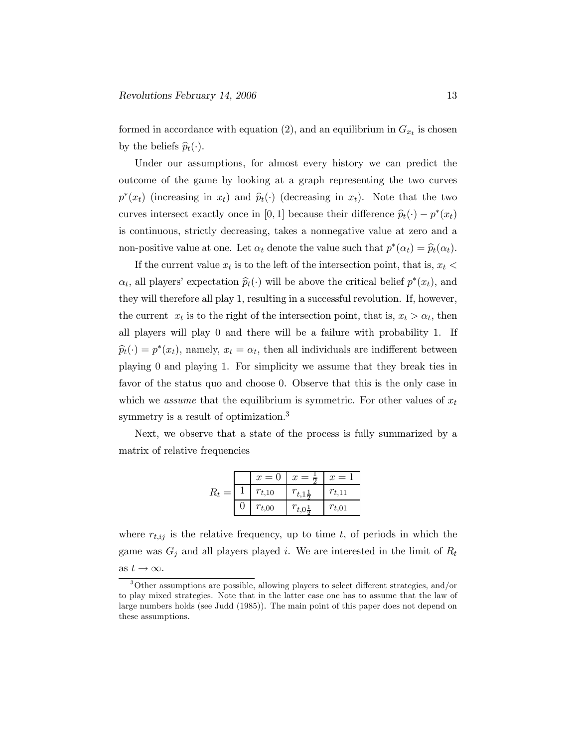formed in accordance with equation (2), and an equilibrium in  $G_{x_t}$  is chosen by the beliefs  $\widehat{p}_t(\cdot)$ .

Under our assumptions, for almost every history we can predict the outcome of the game by looking at a graph representing the two curves  $p^*(x_t)$  (increasing in  $x_t$ ) and  $\hat{p}_t(\cdot)$  (decreasing in  $x_t$ ). Note that the two curves intersect exactly once in [0, 1] because their difference  $\hat{p}_t(\cdot) - p^*(x_t)$ is continuous, strictly decreasing, takes a nonnegative value at zero and a non-positive value at one. Let  $\alpha_t$  denote the value such that  $p^*(\alpha_t) = \hat{p}_t(\alpha_t)$ .

If the current value  $x_t$  is to the left of the intersection point, that is,  $x_t$  <  $\alpha_t$ , all players' expectation  $\hat{p}_t(\cdot)$  will be above the critical belief  $p^*(x_t)$ , and they will therefore all play 1, resulting in a successful revolution. If, however, the current  $x_t$  is to the right of the intersection point, that is,  $x_t > \alpha_t$ , then all players will play 0 and there will be a failure with probability 1. If  $\widehat{p}_t(\cdot) = p^*(x_t)$ , namely,  $x_t = \alpha_t$ , then all individuals are indifferent between playing 0 and playing 1. For simplicity we assume that they break ties in favor of the status quo and choose 0. Observe that this is the only case in which we assume that the equilibrium is symmetric. For other values of  $x_t$ symmetry is a result of optimization.3

Next, we observe that a state of the process is fully summarized by a matrix of relative frequencies

|     | $x=0$      | $=$ $\div$ | $=$<br>$\boldsymbol{x}$ |
|-----|------------|------------|-------------------------|
| $=$ | $r_{t,10}$ |            | $r_{t,11}$              |
|     | $r_{t,00}$ | $r_{t,0}$  | $r_{t,01}$              |

where  $r_{t,ij}$  is the relative frequency, up to time t, of periods in which the game was  $G_j$  and all players played *i*. We are interested in the limit of  $R_t$ as  $t \to \infty$ .

<sup>3</sup>Other assumptions are possible, allowing players to select different strategies, and/or to play mixed strategies. Note that in the latter case one has to assume that the law of large numbers holds (see Judd (1985)). The main point of this paper does not depend on these assumptions.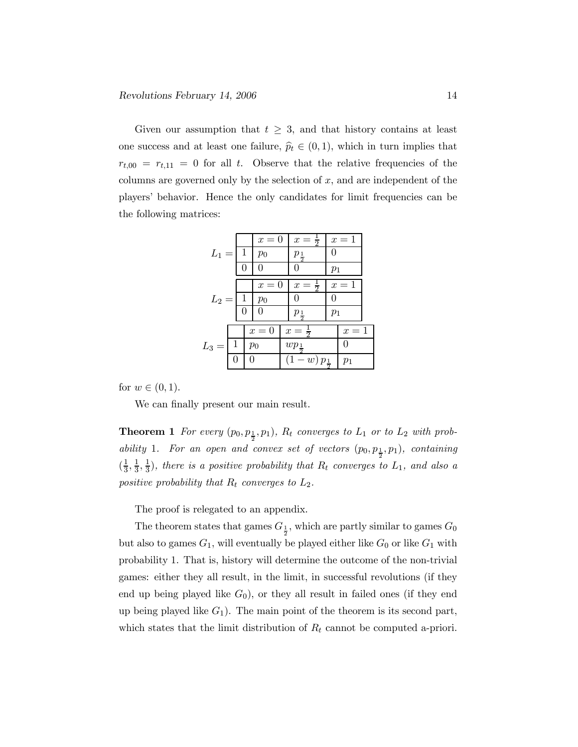Given our assumption that  $t \geq 3$ , and that history contains at least one success and at least one failure,  $\hat{p}_t \in (0, 1)$ , which in turn implies that  $r_{t,00} = r_{t,11} = 0$  for all t. Observe that the relative frequencies of the columns are governed only by the selection of  $x$ , and are independent of the players' behavior. Hence the only candidates for limit frequencies can be the following matrices:

|         |              |              | $x=0$ |  | $x=\frac{1}{2}$                    |              | $x=1$ |  |
|---------|--------------|--------------|-------|--|------------------------------------|--------------|-------|--|
| $L_1 =$ |              | -1           | $p_0$ |  | $p_{\frac{1}{2}}$                  | $\mathbf{0}$ |       |  |
|         |              | 0            |       |  | $\mathbf{0}$                       | $p_1$        |       |  |
| $L_2 =$ |              |              | $x=0$ |  | $x=\frac{1}{2}$                    | $x=1$        |       |  |
|         |              | $\mathbf{1}$ | $p_0$ |  |                                    |              |       |  |
|         |              | 0            |       |  | $p_{\frac{1}{2}}$                  | $p_1$        |       |  |
|         |              |              | $x=0$ |  | $x=\frac{1}{2}$                    |              | $x=1$ |  |
| $L_3 =$ | $\mathbf{1}$ |              | $p_0$ |  | $wp_{\frac{1}{2}}$                 |              | 0     |  |
|         |              |              |       |  | $\overline{(1-w)} p_{\frac{1}{2}}$ |              | $p_1$ |  |
|         |              |              |       |  |                                    |              |       |  |

for  $w \in (0, 1)$ .

We can finally present our main result.

**Theorem 1** For every  $(p_0, p_{\frac{1}{2}}, p_1)$ ,  $R_t$  converges to  $L_1$  or to  $L_2$  with probability 1. For an open and convex set of vectors  $(p_0, p_{\frac{1}{2}}, p_1)$ , containing  $(\frac{1}{3}, \frac{1}{3}, \frac{1}{3})$ , there is a positive probability that  $R_t$  converges to  $L_1$ , and also a positive probability that  $R_t$  converges to  $L_2$ .

The proof is relegated to an appendix.

The theorem states that games  $G_{\frac{1}{2}}$ , which are partly similar to games  $G_0$ but also to games  $G_1$ , will eventually be played either like  $G_0$  or like  $G_1$  with probability 1. That is, history will determine the outcome of the non-trivial games: either they all result, in the limit, in successful revolutions (if they end up being played like  $G_0$ ), or they all result in failed ones (if they end up being played like  $G_1$ ). The main point of the theorem is its second part, which states that the limit distribution of  $R_t$  cannot be computed a-priori.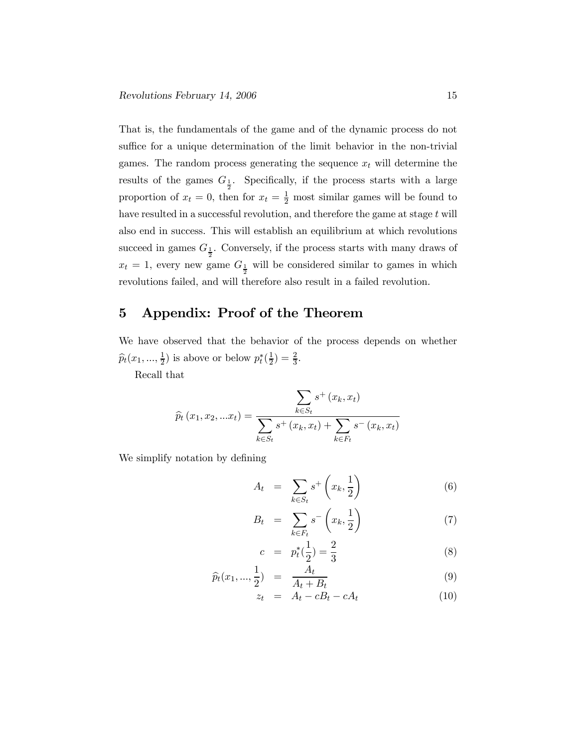That is, the fundamentals of the game and of the dynamic process do not suffice for a unique determination of the limit behavior in the non-trivial games. The random process generating the sequence  $x_t$  will determine the results of the games  $G_{\frac{1}{2}}$ . Specifically, if the process starts with a large proportion of  $x_t = 0$ , then for  $x_t = \frac{1}{2}$  most similar games will be found to have resulted in a successful revolution, and therefore the game at stage  $t$  will also end in success. This will establish an equilibrium at which revolutions succeed in games  $G_{\frac{1}{2}}$ . Conversely, if the process starts with many draws of  $x_t = 1$ , every new game  $G_{\frac{1}{2}}$  will be considered similar to games in which revolutions failed, and will therefore also result in a failed revolution.

## 5 Appendix: Proof of the Theorem

We have observed that the behavior of the process depends on whether  $\widehat{p}_t(x_1, ..., \frac{1}{2})$  is above or below  $p_t^*(\frac{1}{2}) = \frac{2}{3}$ .

Recall that

$$
\widehat{p}_t(x_1, x_2, ... x_t) = \frac{\sum_{k \in S_t} s^+(x_k, x_t)}{\sum_{k \in S_t} s^+(x_k, x_t) + \sum_{k \in F_t} s^-(x_k, x_t)}
$$

We simplify notation by defining

$$
A_t = \sum_{k \in S_t} s^+ \left( x_k, \frac{1}{2} \right) \tag{6}
$$

$$
B_t = \sum_{k \in F_t} s^- \left( x_k, \frac{1}{2} \right) \tag{7}
$$

$$
c = p_t^*(\frac{1}{2}) = \frac{2}{3} \tag{8}
$$

$$
\widehat{p}_t(x_1, ..., \frac{1}{2}) = \frac{A_t}{A_t + B_t} \tag{9}
$$

$$
z_t = A_t - cB_t - cA_t \tag{10}
$$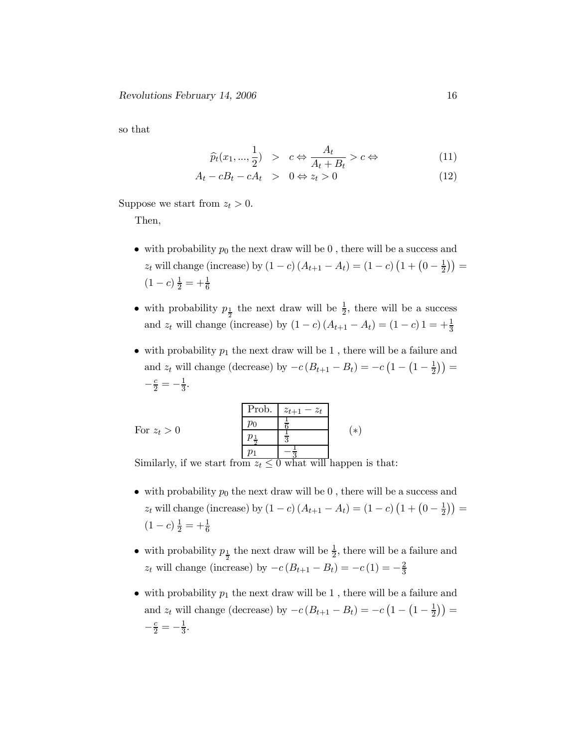so that

$$
\widehat{p}_t(x_1, ..., \frac{1}{2}) > c \Leftrightarrow \frac{A_t}{A_t + B_t} > c \Leftrightarrow \tag{11}
$$

$$
A_t - cB_t - cA_t > 0 \Leftrightarrow z_t > 0 \tag{12}
$$

Suppose we start from  $z_t > 0$ .

Then,

- with probability  $p_0$  the next draw will be 0, there will be a success and  $z_t$  will change (increase) by  $(1 - c) (A_{t+1} - A_t) = (1 - c) (1 + (0 - \frac{1}{2})) =$  $(1-c)\frac{1}{2} = +\frac{1}{6}$
- with probability  $p_{\frac{1}{2}}$  the next draw will be  $\frac{1}{2}$ , there will be a success and  $z_t$  will change (increase) by  $(1 - c) (A_{t+1} - A_t) = (1 - c) 1 = +\frac{1}{3}$
- with probability  $p_1$  the next draw will be 1, there will be a failure and and  $z_t$  will change (decrease) by  $-c(B_{t+1} - B_t) = -c(1 - (1 - \frac{1}{2})) =$  $-\frac{c}{2} = -\frac{1}{3}.$

|                                                                    | Prob. | $z_{t+1} - z_t$ |        |
|--------------------------------------------------------------------|-------|-----------------|--------|
|                                                                    |       |                 | $\ast$ |
| For $z_t > 0$                                                      |       |                 |        |
|                                                                    |       |                 |        |
| Similarly, if we start from $z_t \leq 0$ what will happen is that: |       |                 |        |

- with probability  $p_0$  the next draw will be 0, there will be a success and  $z_t$  will change (increase) by  $(1 - c) (A_{t+1} - A_t) = (1 - c) (1 + (0 - \frac{1}{2})) =$  $(1-c)\frac{1}{2} = +\frac{1}{6}$
- with probability  $p_{\frac{1}{2}}$  the next draw will be  $\frac{1}{2}$ , there will be a failure and  $z_t$  will change (increase) by  $-c(B_{t+1} - B_t) = -c(1) = -\frac{2}{3}$
- with probability  $p_1$  the next draw will be 1, there will be a failure and and  $z_t$  will change (decrease) by  $-c(B_{t+1} - B_t) = -c(1 - (1 - \frac{1}{2})) =$  $-\frac{c}{2} = -\frac{1}{3}.$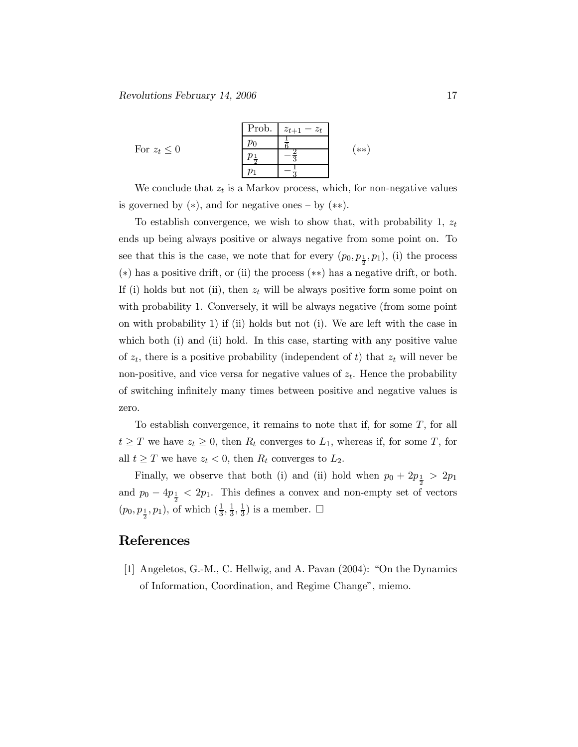For  $z_t \leq 0$ Prob.  $|z_{t+1} - z_t|$  $p_0$  $\overline{1}$ 6  $\frac{p_{\frac{1}{2}}}{2}$  $\frac{2}{3}$  $p_1$ 3 (∗∗)

We conclude that  $z_t$  is a Markov process, which, for non-negative values is governed by  $(*),$  and for negative ones – by  $(**).$ 

To establish convergence, we wish to show that, with probability 1,  $z_t$ ends up being always positive or always negative from some point on. To see that this is the case, we note that for every  $(p_0, p_{\frac{1}{2}}, p_1)$ , (i) the process (∗) has a positive drift, or (ii) the process (∗∗) has a negative drift, or both. If (i) holds but not (ii), then  $z_t$  will be always positive form some point on with probability 1. Conversely, it will be always negative (from some point on with probability 1) if (ii) holds but not (i). We are left with the case in which both (i) and (ii) hold. In this case, starting with any positive value of  $z_t$ , there is a positive probability (independent of t) that  $z_t$  will never be non-positive, and vice versa for negative values of  $z_t$ . Hence the probability of switching infinitely many times between positive and negative values is zero.

To establish convergence, it remains to note that if, for some T, for all  $t \geq T$  we have  $z_t \geq 0$ , then  $R_t$  converges to  $L_1$ , whereas if, for some T, for all  $t \geq T$  we have  $z_t < 0$ , then  $R_t$  converges to  $L_2$ .

Finally, we observe that both (i) and (ii) hold when  $p_0 + 2p_{\frac{1}{2}} > 2p_1$ and  $p_0 - 4p_{\frac{1}{2}} < 2p_1$ . This defines a convex and non-empty set of vectors  $(p_0, p_{\frac{1}{2}}, p_1)$ , of which  $(\frac{1}{3}, \frac{1}{3}, \frac{1}{3})$  is a member.  $\Box$ 

#### References

[1] Angeletos, G.-M., C. Hellwig, and A. Pavan (2004): "On the Dynamics of Information, Coordination, and Regime Change", miemo.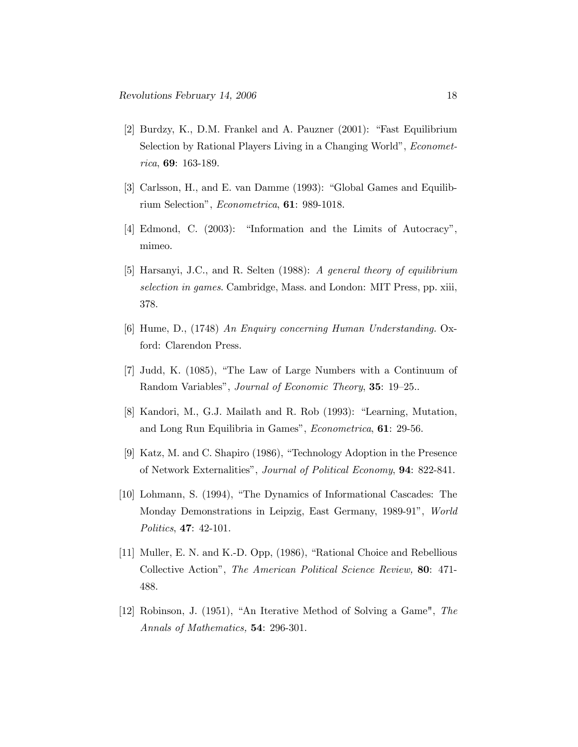- [2] Burdzy, K., D.M. Frankel and A. Pauzner (2001): "Fast Equilibrium Selection by Rational Players Living in a Changing World", Econometrica, 69: 163-189.
- [3] Carlsson, H., and E. van Damme (1993): "Global Games and Equilibrium Selection", Econometrica, 61: 989-1018.
- [4] Edmond, C. (2003): "Information and the Limits of Autocracy", mimeo.
- [5] Harsanyi, J.C., and R. Selten (1988): A general theory of equilibrium selection in games. Cambridge, Mass. and London: MIT Press, pp. xiii, 378.
- [6] Hume, D., (1748) An Enquiry concerning Human Understanding. Oxford: Clarendon Press.
- [7] Judd, K. (1085), "The Law of Large Numbers with a Continuum of Random Variables", Journal of Economic Theory, 35: 19—25..
- [8] Kandori, M., G.J. Mailath and R. Rob (1993): "Learning, Mutation, and Long Run Equilibria in Games", Econometrica, 61: 29-56.
- [9] Katz, M. and C. Shapiro (1986), "Technology Adoption in the Presence of Network Externalities", Journal of Political Economy, 94: 822-841.
- [10] Lohmann, S. (1994), "The Dynamics of Informational Cascades: The Monday Demonstrations in Leipzig, East Germany, 1989-91", World Politics, 47: 42-101.
- [11] Muller, E. N. and K.-D. Opp, (1986), "Rational Choice and Rebellious Collective Action", The American Political Science Review, 80: 471- 488.
- [12] Robinson, J. (1951), "An Iterative Method of Solving a Game", The Annals of Mathematics, 54: 296-301.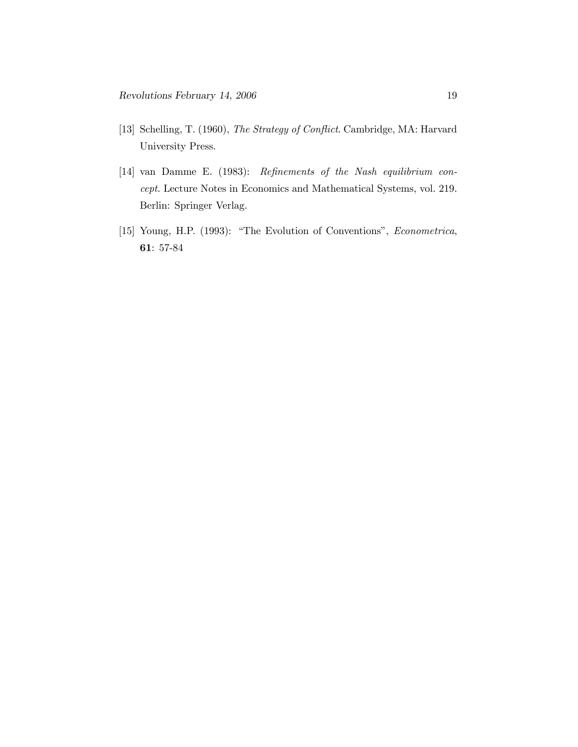- [13] Schelling, T. (1960), The Strategy of Conflict. Cambridge, MA: Harvard University Press.
- [14] van Damme E. (1983): Refinements of the Nash equilibrium concept. Lecture Notes in Economics and Mathematical Systems, vol. 219. Berlin: Springer Verlag.
- [15] Young, H.P. (1993): "The Evolution of Conventions", Econometrica, 61: 57-84